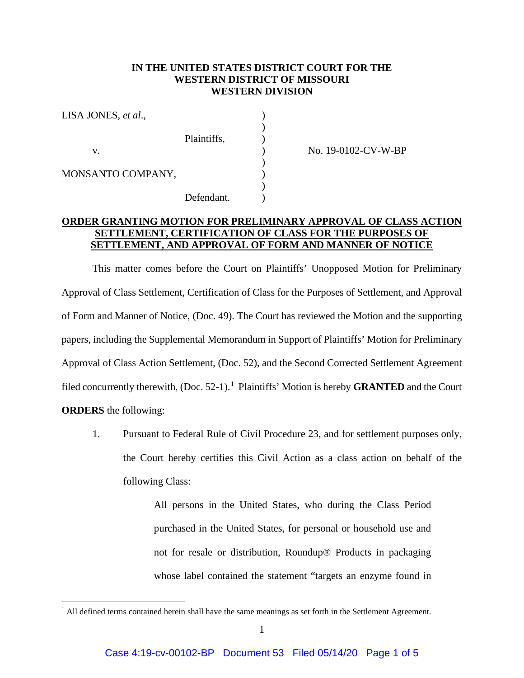## **IN THE UNITED STATES DISTRICT COURT FOR THE WESTERN DISTRICT OF MISSOURI WESTERN DIVISION**

| LISA JONES, et al., |             |  |
|---------------------|-------------|--|
|                     | Plaintiffs, |  |
| v.                  |             |  |
| MONSANTO COMPANY,   |             |  |
|                     | Defendant.  |  |

No. 19-0102-CV-W-BP

## **ORDER GRANTING MOTION FOR PRELIMINARY APPROVAL OF CLASS ACTION SETTLEMENT, CERTIFICATION OF CLASS FOR THE PURPOSES OF SETTLEMENT, AND APPROVAL OF FORM AND MANNER OF NOTICE**

This matter comes before the Court on Plaintiffs' Unopposed Motion for Preliminary Approval of Class Settlement, Certification of Class for the Purposes of Settlement, and Approval of Form and Manner of Notice, (Doc. 49). The Court has reviewed the Motion and the supporting papers, including the Supplemental Memorandum in Support of Plaintiffs' Motion for Preliminary Approval of Class Action Settlement, (Doc. 52), and the Second Corrected Settlement Agreement filed concurrently therewith, (Doc. 52-1). <sup>1</sup> Plaintiffs' Motion is hereby **GRANTED** and the Court **ORDERS** the following:

1. Pursuant to Federal Rule of Civil Procedure 23, and for settlement purposes only, the Court hereby certifies this Civil Action as a class action on behalf of the following Class:

> All persons in the United States, who during the Class Period purchased in the United States, for personal or household use and not for resale or distribution, Roundup® Products in packaging whose label contained the statement "targets an enzyme found in

 $<sup>1</sup>$  All defined terms contained herein shall have the same meanings as set forth in the Settlement Agreement.</sup>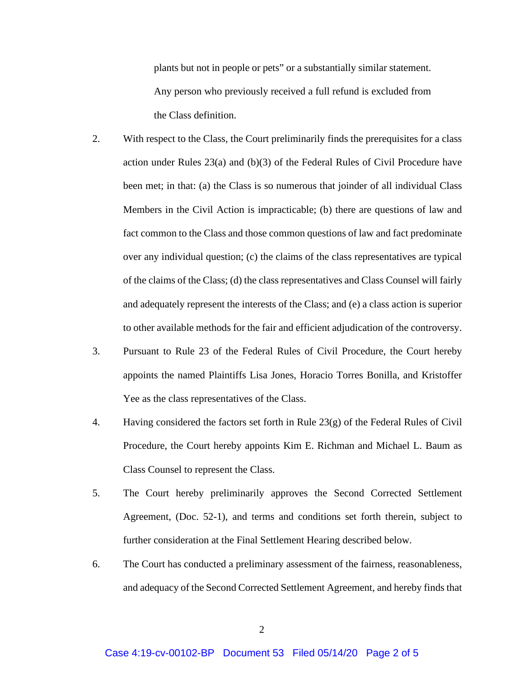plants but not in people or pets" or a substantially similar statement. Any person who previously received a full refund is excluded from the Class definition.

- 2. With respect to the Class, the Court preliminarily finds the prerequisites for a class action under Rules 23(a) and (b)(3) of the Federal Rules of Civil Procedure have been met; in that: (a) the Class is so numerous that joinder of all individual Class Members in the Civil Action is impracticable; (b) there are questions of law and fact common to the Class and those common questions of law and fact predominate over any individual question; (c) the claims of the class representatives are typical of the claims of the Class; (d) the class representatives and Class Counsel will fairly and adequately represent the interests of the Class; and (e) a class action is superior to other available methods for the fair and efficient adjudication of the controversy.
- 3. Pursuant to Rule 23 of the Federal Rules of Civil Procedure, the Court hereby appoints the named Plaintiffs Lisa Jones, Horacio Torres Bonilla, and Kristoffer Yee as the class representatives of the Class.
- 4. Having considered the factors set forth in Rule 23(g) of the Federal Rules of Civil Procedure, the Court hereby appoints Kim E. Richman and Michael L. Baum as Class Counsel to represent the Class.
- 5. The Court hereby preliminarily approves the Second Corrected Settlement Agreement, (Doc. 52-1), and terms and conditions set forth therein, subject to further consideration at the Final Settlement Hearing described below.
- 6. The Court has conducted a preliminary assessment of the fairness, reasonableness, and adequacy of the Second Corrected Settlement Agreement, and hereby finds that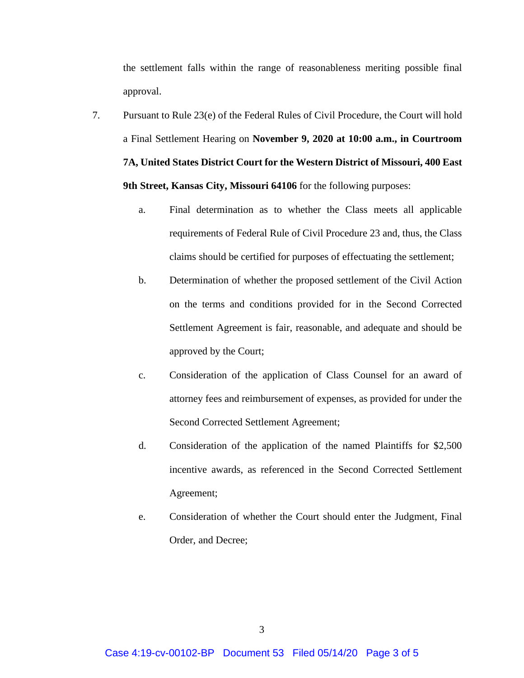the settlement falls within the range of reasonableness meriting possible final approval.

- 7. Pursuant to Rule 23(e) of the Federal Rules of Civil Procedure, the Court will hold a Final Settlement Hearing on **November 9, 2020 at 10:00 a.m., in Courtroom 7A, United States District Court for the Western District of Missouri, 400 East 9th Street, Kansas City, Missouri 64106** for the following purposes:
	- a. Final determination as to whether the Class meets all applicable requirements of Federal Rule of Civil Procedure 23 and, thus, the Class claims should be certified for purposes of effectuating the settlement;
	- b. Determination of whether the proposed settlement of the Civil Action on the terms and conditions provided for in the Second Corrected Settlement Agreement is fair, reasonable, and adequate and should be approved by the Court;
	- c. Consideration of the application of Class Counsel for an award of attorney fees and reimbursement of expenses, as provided for under the Second Corrected Settlement Agreement;
	- d. Consideration of the application of the named Plaintiffs for \$2,500 incentive awards, as referenced in the Second Corrected Settlement Agreement;
	- e. Consideration of whether the Court should enter the Judgment, Final Order, and Decree;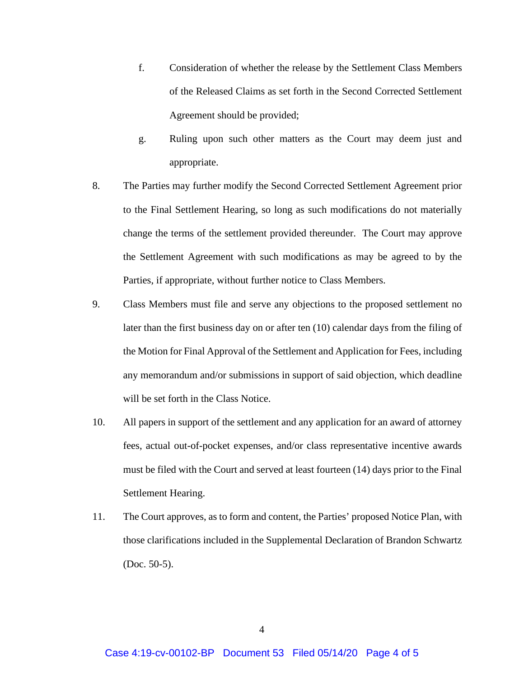- f. Consideration of whether the release by the Settlement Class Members of the Released Claims as set forth in the Second Corrected Settlement Agreement should be provided;
- g. Ruling upon such other matters as the Court may deem just and appropriate.
- 8. The Parties may further modify the Second Corrected Settlement Agreement prior to the Final Settlement Hearing, so long as such modifications do not materially change the terms of the settlement provided thereunder. The Court may approve the Settlement Agreement with such modifications as may be agreed to by the Parties, if appropriate, without further notice to Class Members.
- 9. Class Members must file and serve any objections to the proposed settlement no later than the first business day on or after ten (10) calendar days from the filing of the Motion for Final Approval of the Settlement and Application for Fees, including any memorandum and/or submissions in support of said objection, which deadline will be set forth in the Class Notice.
- 10. All papers in support of the settlement and any application for an award of attorney fees, actual out-of-pocket expenses, and/or class representative incentive awards must be filed with the Court and served at least fourteen (14) days prior to the Final Settlement Hearing.
- 11. The Court approves, as to form and content, the Parties' proposed Notice Plan, with those clarifications included in the Supplemental Declaration of Brandon Schwartz (Doc. 50-5).